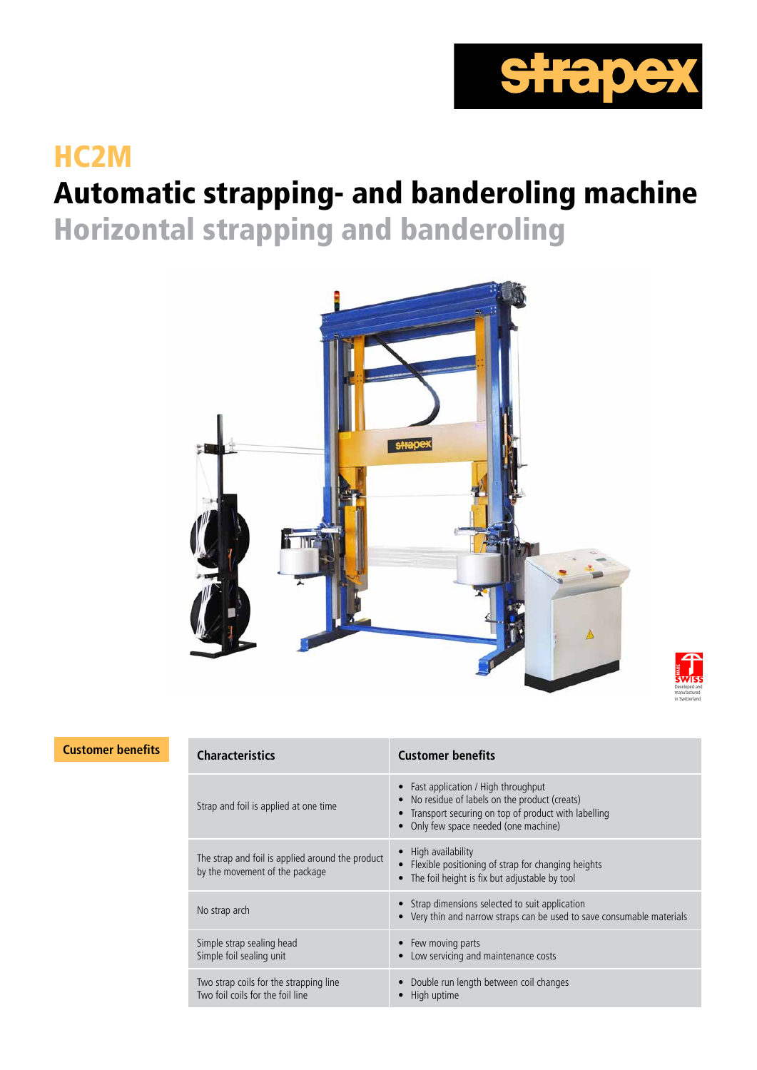

# HC2M

# Automatic strapping- and banderoling machine

Horizontal strapping and banderoling





### **Customer benefits Characteristics Customer benefits**

| <b>Characteristics</b>                                                             | <b>Customer benefits</b>                                                                                                                                                               |  |  |
|------------------------------------------------------------------------------------|----------------------------------------------------------------------------------------------------------------------------------------------------------------------------------------|--|--|
| Strap and foil is applied at one time                                              | • Fast application / High throughput<br>No residue of labels on the product (creats)<br>• Transport securing on top of product with labelling<br>• Only few space needed (one machine) |  |  |
| The strap and foil is applied around the product<br>by the movement of the package | • High availability<br>Flexible positioning of strap for changing heights<br>The foil height is fix but adjustable by tool                                                             |  |  |
| No strap arch                                                                      | • Strap dimensions selected to suit application<br>• Very thin and narrow straps can be used to save consumable materials                                                              |  |  |
| Simple strap sealing head<br>Simple foil sealing unit                              | • Few moving parts<br>Low servicing and maintenance costs                                                                                                                              |  |  |
| Two strap coils for the strapping line<br>Two foil coils for the foil line         | Double run length between coil changes<br>High uptime                                                                                                                                  |  |  |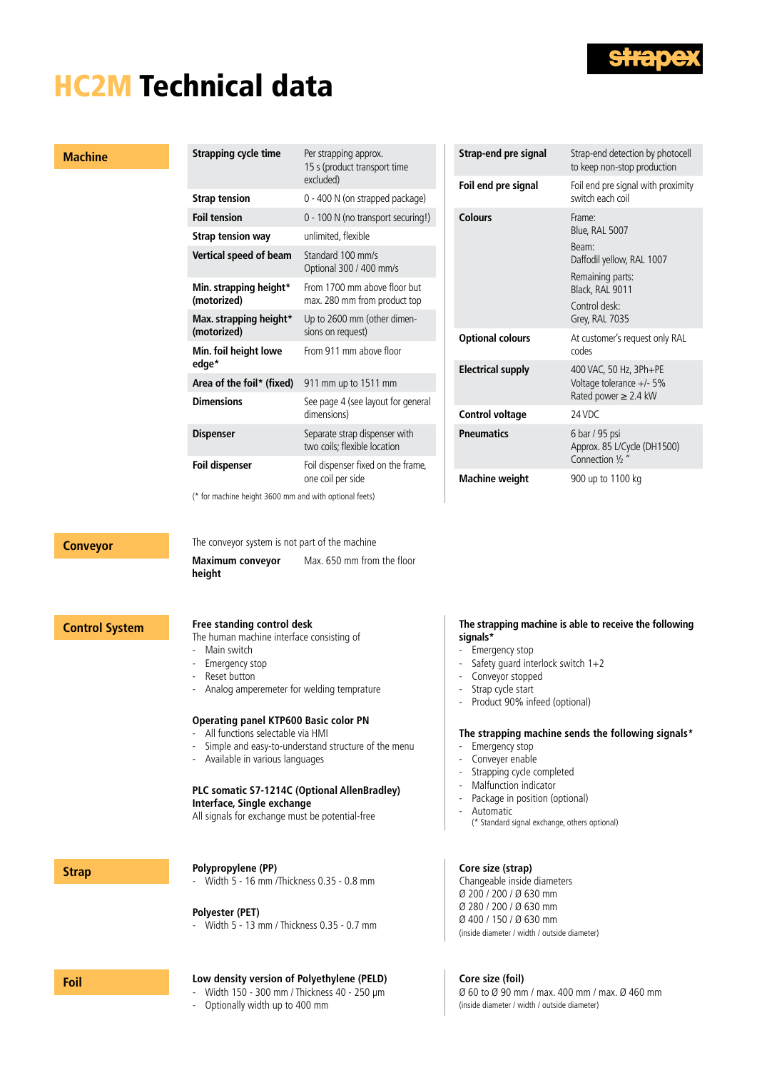

# HC2M Technical data

#### **Machine**

| Strapping cycle time                  | Per strapping approx.<br>15 s (product transport time<br>excluded) |  |  |
|---------------------------------------|--------------------------------------------------------------------|--|--|
| <b>Strap tension</b>                  | 0 - 400 N (on strapped package)                                    |  |  |
| <b>Foil tension</b>                   | 0 - 100 N (no transport securing!)                                 |  |  |
| <b>Strap tension way</b>              | unlimited, flexible                                                |  |  |
| Vertical speed of beam                | Standard 100 mm/s<br>Optional 300 / 400 mm/s                       |  |  |
| Min. strapping height*<br>(motorized) | From 1700 mm above floor but<br>max. 280 mm from product top       |  |  |
| Max. strapping height*<br>(motorized) | Up to 2600 mm (other dimen-<br>sions on request)                   |  |  |
| Min. foil height lowe<br>edge*        | From 911 mm above floor                                            |  |  |
| Area of the foil* (fixed)             | 911 mm up to 1511 mm                                               |  |  |
| <b>Dimensions</b>                     | See page 4 (see layout for general<br>dimensions)                  |  |  |
| <b>Dispenser</b>                      | Separate strap dispenser with<br>two coils; flexible location      |  |  |
| <b>Foil dispenser</b>                 | Foil dispenser fixed on the frame,<br>one coil per side            |  |  |

| Strap-end pre signal    | Strap-end detection by photocell<br>to keep non-stop production                                       |  |  |
|-------------------------|-------------------------------------------------------------------------------------------------------|--|--|
| Foil end pre signal     | Foil end pre signal with proximity<br>switch each coil                                                |  |  |
| Colours                 | Frame:<br>Blue, RAL 5007<br>Beam:<br>Daffodil yellow, RAL 1007<br>Remaining parts:<br>Black, RAL 9011 |  |  |
|                         | Control desk:<br>Grey, RAL 7035                                                                       |  |  |
| <b>Optional colours</b> | At customer's request only RAL<br>codes                                                               |  |  |
| Electrical supply       | 400 VAC, 50 Hz, 3Ph+PE<br>Voltage tolerance $+/-5\%$<br>Rated power $\geq$ 2.4 kW                     |  |  |
| <b>Control voltage</b>  | 24 VDC                                                                                                |  |  |
| <b>Pneumatics</b>       | 6 bar / 95 psi<br>Approx. 85 L/Cycle (DH1500)<br>Connection 1/2"                                      |  |  |
| <b>Machine weight</b>   | 900 up to 1100 kg                                                                                     |  |  |

(\* for machine height 3600 mm and with optional feets)

**Conveyor** The conveyor system is not part of the machine

Max. 650 mm from the floor

**height**

**Maximum conveyor** 

## **Control System Free standing control desk**

The human machine interface consisting of

- Main switch
- Emergency stop
- Reset button
- Analog amperemeter for welding temprature

#### **Operating panel KTP600 Basic color PN**

- All functions selectable via HMI
- Simple and easy-to-understand structure of the menu
- Available in various languages

#### **PLC somatic S7-1214C (Optional AllenBradley) Interface, Single exchange**

All signals for exchange must be potential-free

### **Strap Polypropylene** (PP)

- Width 5 - 16 mm /Thickness 0.35 - 0.8 mm

#### **Polyester (PET)**

- Width 5 - 13 mm / Thickness 0.35 - 0.7 mm

#### **Foil Low density version of Polyethylene (PELD)**

- Width 150 - 300 mm / Thickness 40 - 250 µm

- Optionally width up to 400 mm

#### **The strapping machine is able to receive the following signals\***

- Emergency stop
- Safety guard interlock switch 1+2
- 
- Conveyor stopped<br>- Stran cycle start - Strap cycle start
- Product 90% infeed (optional)

#### **The strapping machine sends the following signals\***

- Emergency stop
- Conveyer enable
- Strapping cycle completed
- Malfunction indicator
- Package in position (optional)
- Automatic
- (\* Standard signal exchange, others optional)

### **Core size (strap)**

Changeable inside diameters Ø 200 / 200 / Ø 630 mm Ø 280 / 200 / Ø 630 mm Ø 400 / 150 / Ø 630 mm (inside diameter / width / outside diameter)

### **Core size (foil)**

Ø 60 to Ø 90 mm / max. 400 mm / max. Ø 460 mm (inside diameter / width / outside diameter)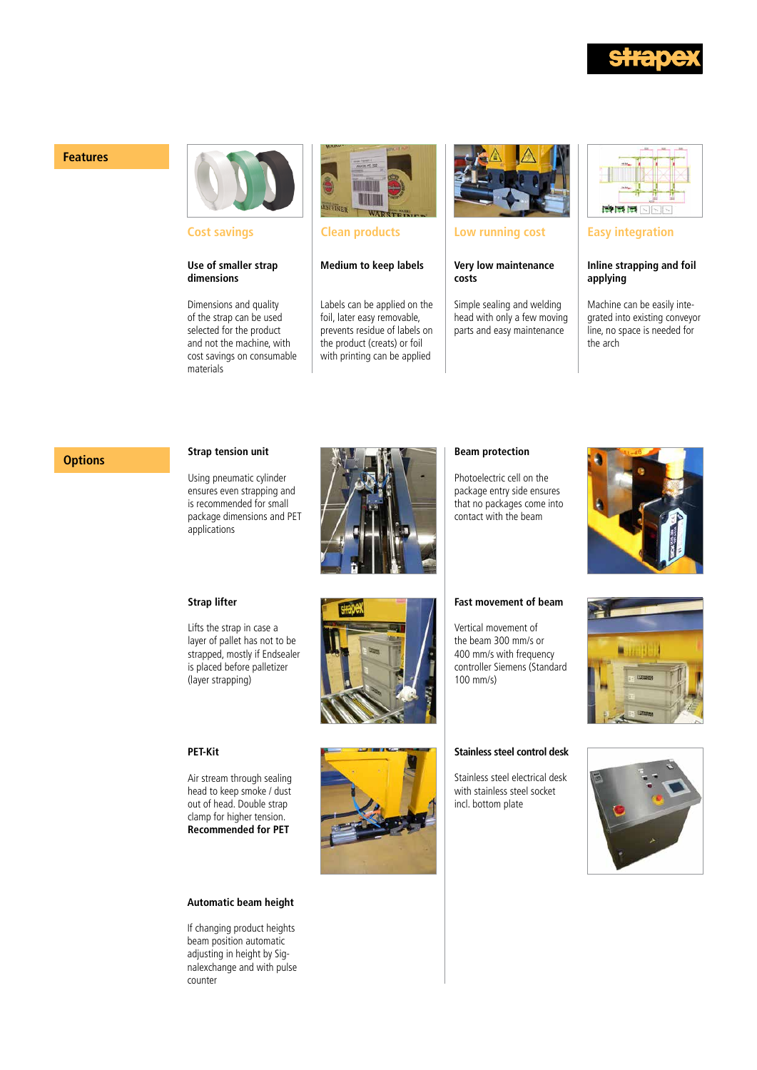

#### **Features**



**Cost savings**

#### **Use of smaller strap dimensions**

Dimensions and quality of the strap can be used selected for the product and not the machine, with cost savings on consumable materials



#### **Clean products**

#### **Medium to keep labels**

Labels can be applied on the foil, later easy removable, prevents residue of labels on the product (creats) or foil with printing can be applied



#### **Low running cost**

#### **Very low maintenance costs**

Simple sealing and welding head with only a few moving parts and easy maintenance



#### **Easy integration**

#### **Inline strapping and foil applying**

Machine can be easily integrated into existing conveyor line, no space is needed for the arch

## **Options Strap tension unit**

Using pneumatic cylinder ensures even strapping and is recommended for small package dimensions and PET applications



#### **Beam protection**

Photoelectric cell on the package entry side ensures that no packages come into contact with the beam



#### **Strap lifter**

Lifts the strap in case a layer of pallet has not to be strapped, mostly if Endsealer is placed before palletizer (layer strapping)





Air stream through sealing head to keep smoke / dust out of head. Double strap clamp for higher tension. **Recommended for PET**

#### **Automatic beam height**

If changing product heights beam position automatic adjusting in height by Signalexchange and with pulse counter



#### **Fast movement of beam**

Vertical movement of the beam 300 mm/s or 400 mm/s with frequency controller Siemens (Standard 100 mm/s)





#### **Stainless steel control desk**

Stainless steel electrical desk with stainless steel socket incl. bottom plate